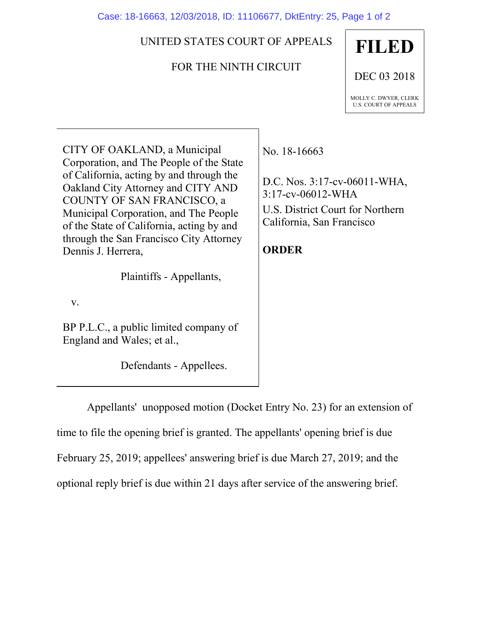Case: 18-16663, 12/03/2018, ID: 11106677, DktEntry: 25, Page 1 of 2

## UNITED STATES COURT OF APPEALS

## FOR THE NINTH CIRCUIT

**FILED** DEC 03 2018 MOLLY C. DWYER, CLERK U.S. COURT OF APPEALS

CITY OF OAKLAND, a Municipal Corporation, and The People of the State of California, acting by and through the Oakland City Attorney and CITY AND COUNTY OF SAN FRANCISCO, a Municipal Corporation, and The People of the State of California, acting by and through the San Francisco City Attorney Dennis J. Herrera,

Plaintiffs - Appellants,

v.

BP P.L.C., a public limited company of England and Wales; et al.,

Defendants - Appellees.

No. 18-16663

D.C. Nos. 3:17-cv-06011-WHA, 3:17-cv-06012-WHA U.S. District Court for Northern California, San Francisco

## **ORDER**

Appellants' unopposed motion (Docket Entry No. 23) for an extension of time to file the opening brief is granted. The appellants' opening brief is due February 25, 2019; appellees' answering brief is due March 27, 2019; and the optional reply brief is due within 21 days after service of the answering brief.